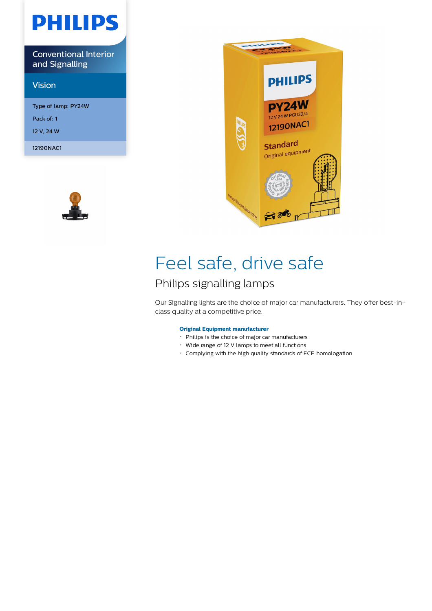# **PHILIPS**

Conventional Interior and Signalling

# Vision

Type of lamp: PY24W Pack of: 1 12 V, 24 W

12190NAC1





# Feel safe, drive safe

# Philips signalling lamps

Our Signalling lights are the choice of major car manufacturers. They offer best-inclass quality at a competitive price.

# **Original Equipment manufacturer**

- Philips is the choice of major car manufacturers
- Wide range of 12 V lamps to meet all functions
- Complying with the high quality standards of ECE homologation